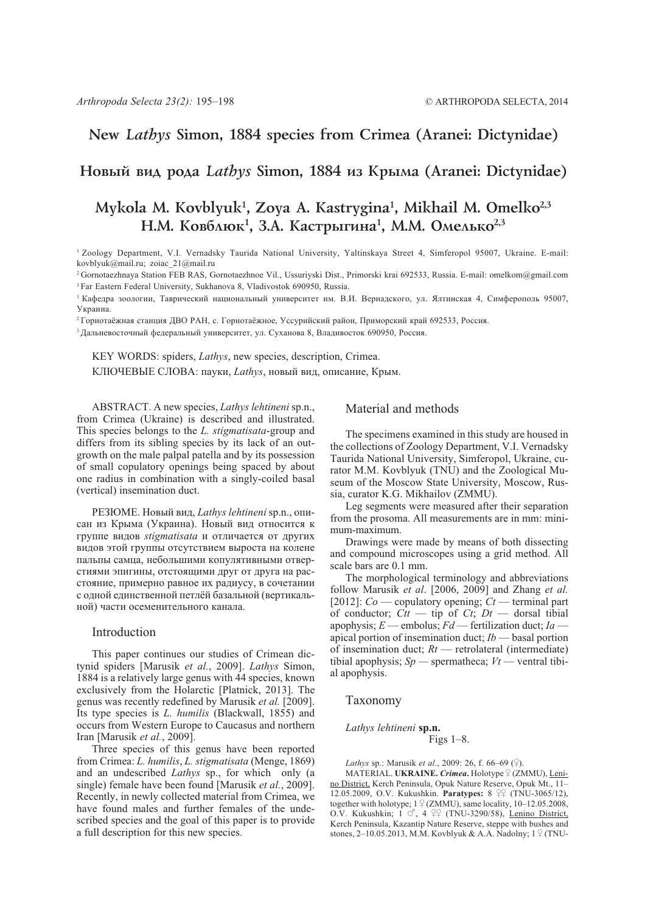## New Lathys Simon, 1884 species from Crimea (Aranei: Dictynidae)

## Новый вид рода Lathys Simon, 1884 из Крыма (Aranei: Dictynidae)

# Mykola M. Kovblyuk<sup>1</sup>, Zoya A. Kastrygina<sup>1</sup>, Mikhail M. Omelko<sup>2,3</sup> Н.М. Ковблюк<sup>1</sup>, З.А. Кастрыгина<sup>1</sup>, М.М. Омелько<sup>2,3</sup>

<sup>1</sup> Zoology Department, V.I. Vernadsky Taurida National University, Yaltinskaya Street 4, Simferopol 95007, Ukraine. E-mail: kovblyuk@mail.ru; zoiac\_21@mail.ru

<sup>2</sup> Gornotaezhnaya Station FEB RAS, Gornotaezhnoe Vil., Ussuriyski Dist., Primorski krai 692533, Russia. E-mail: omelkom@gmail.com <sup>3</sup> Far Eastern Federal University, Sukhanova 8, Vladivostok 690950, Russia.

<sup>1</sup> Кафедра зоологии, Таврический национальный университет им. В.И. Вернадского, ул. Ялтинская 4, Симферополь 95007, Украина.

<sup>2</sup> Горнотаёжная станция ДВО РАН, с. Горнотаёжное, Уссурийский район, Приморский край 692533, Россия.

<sup>3</sup> Дальневосточный федеральный университет, ул. Суханова 8, Владивосток 690950, Россия.

KEY WORDS: spiders, Lathys, new species, description, Crimea. КЛЮЧЕВЫЕ СЛОВА: пауки, Lathys, новый вид, описание, Крым.

ABSTRACT. A new species, Lathys lehtineni sp.n., from Crimea (Ukraine) is described and illustrated. This species belongs to the *L. stigmatisata*-group and differs from its sibling species by its lack of an outgrowth on the male palpal patella and by its possession of small copulatory openings being spaced by about one radius in combination with a singly-coiled basal (vertical) insemination duct.

РЕЗЮМЕ. Новый вид, Lathys lehtineni sp.n., описан из Крыма (Украина). Новый вид относится к группе видов *stigmatisata* и отличается от других видов этой группы отсутствием выроста на колене пальпы самца, небольшими копулятивными отверстиями эпигины, отстоящими друг от друга на расстояние, примерно равное их радиусу, в сочетании с одной единственной петлёй базальной (вертикальной) части осеменительного канала.

#### Introduction

This paper continues our studies of Crimean dictynid spiders [Marusik et al., 2009]. Lathys Simon, 1884 is a relatively large genus with 44 species, known exclusively from the Holarctic [Platnick, 2013]. The genus was recently redefined by Marusik et al. [2009]. Its type species is *L. humilis* (Blackwall, 1855) and occurs from Western Europe to Caucasus and northern Iran [Marusik et al., 2009].

Three species of this genus have been reported from Crimea: L. humilis, L. stigmatisata (Menge, 1869) and an undescribed *Lathys* sp., for which only (a single) female have been found [Marusik et al., 2009]. Recently, in newly collected material from Crimea, we have found males and further females of the undescribed species and the goal of this paper is to provide a full description for this new species.

### Material and methods

The specimens examined in this study are housed in the collections of Zoology Department, V.I. Vernadsky Taurida National University, Simferopol, Ukraine, curator M.M. Kovblyuk (TNU) and the Zoological Museum of the Moscow State University, Moscow, Russia, curator K.G. Mikhailov (ZMMU).

Leg segments were measured after their separation from the prosoma. All measurements are in mm: minimum-maximum.

Drawings were made by means of both dissecting and compound microscopes using a grid method. All scale bars are 0.1 mm.

The morphological terminology and abbreviations follow Marusik et al. [2006, 2009] and Zhang et al. [2012]:  $Co$  — copulatory opening;  $Ct$  — terminal part<br>of conductor;  $Ctt$  — tip of  $Ct$ ;  $Dt$  — dorsal tibial apophysis;  $E$  — embolus;  $Fd$  — fertilization duct;  $Ia$  apical portion of insemination duct;  $Ib$  — basal portion of insemination duct;  $Rt$  — retrolateral (intermediate) tibial apophysis;  $Sp$  — spermatheca;  $Vt$  — ventral tibial apophysis.

Taxonomy

#### Lathys lehtineni sp.n. Figs  $1-8$ .

*Lathys sp.:* Marusik *et al.*, 2009: 26, f. 66–69 ( $\}$ ).

MATERIAL. UKRAINE. Crimea. Holotype <sup>Q</sup> (ZMMU), Lenino District, Kerch Peninsula, Opuk Nature Reserve, Opuk Mt., 11-12.05.2009, O.V. Kukushkin. Paratypes: 8 ºº (TNU-3065/12), together with holotype;  $1\sqrt{2}$  (ZMMU), same locality, 10–12.05.2008, O.V. Kukushkin; 1 0, 4 99 (TNU-3290/58), Lenino District, Kerch Peninsula, Kazantip Nature Reserve, steppe with bushes and stones, 2–10.05.2013, M.M. Kovblyuk & A.A. Nadolny;  $1 \frac{1}{7}$  (TNU-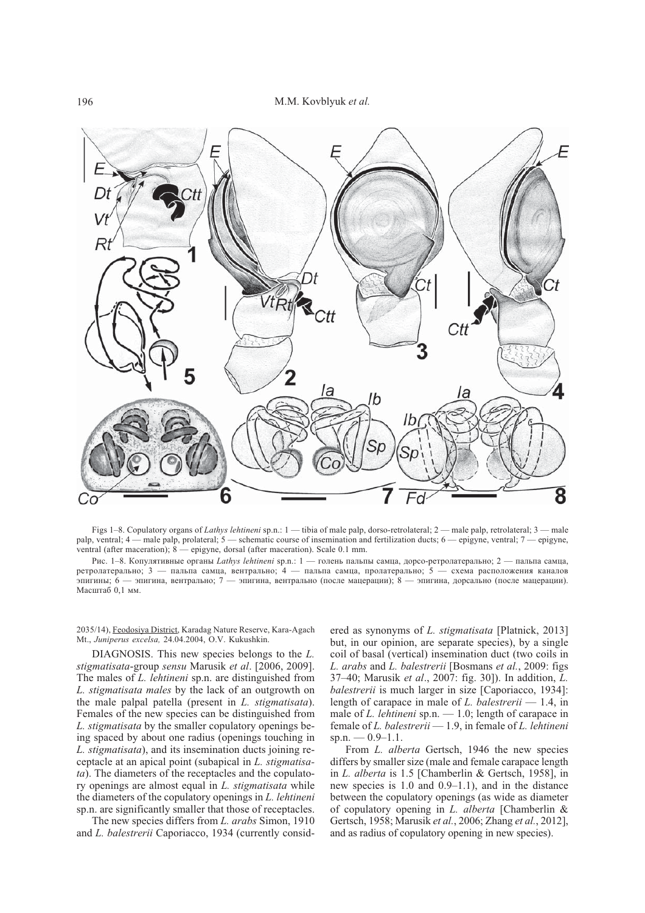

Figs 1-8. Copulatory organs of Lathys lehtineni sp.n.: 1 — tibia of male palp, dorso-retrolateral; 2 — male palp, retrolateral; 3 — male palp, ventral; 4 - male palp, prolateral; 5 - schematic course of insemination and fertilization ducts; 6 - epigyne, ventral; 7 - epigyne, ventral (after maceration); 8 — epigyne, dorsal (after maceration). Scale 0.1 mm.

Рис. 1-8. Копулятивные органы Lathys lehtineni sp.n.: 1 - голень пальпы самца, дорсо-ретролатерально; 2 - пальпа самца, ретролатерально; 3 - пальпа самца, вентрально; 4 - пальпа самца, пролатерально; 5 - схема расположения каналов эпигины; 6 — эпигина, вентрально; 7 — эпигина, вентрально (после мацерации); 8 — эпигина, дорсально (после мацерации). Масштаб 0,1 мм.

2035/14), Feodosiya District, Karadag Nature Reserve, Kara-Agach Mt., Juniperus excelsa, 24.04.2004, O.V. Kukushkin.

DIAGNOSIS. This new species belongs to the L. stigmatisata-group sensu Marusik et al. [2006, 2009]. The males of *L. lehtineni* sp.n. are distinguished from L. stigmatisata males by the lack of an outgrowth on the male palpal patella (present in L. stigmatisata). Females of the new species can be distinguished from L. stigmatisata by the smaller copulatory openings being spaced by about one radius (openings touching in L. stigmatisata), and its insemination ducts joining receptacle at an apical point (subapical in L. stigmatisata). The diameters of the receptacles and the copulatory openings are almost equal in L. stigmatisata while the diameters of the copulatory openings in L. lehtineni sp.n. are significantly smaller that those of receptacles.

The new species differs from L. arabs Simon, 1910 and L. balestrerii Caporiacco, 1934 (currently consid-

ered as synonyms of L. stigmatisata [Platnick, 2013] but, in our opinion, are separate species), by a single coil of basal (vertical) insemination duct (two coils in L. arabs and L. balestrerii [Bosmans et al., 2009: figs] 37-40; Marusik et al., 2007: fig. 30]). In addition, L. *balestrerii* is much larger in size [Caporiacco, 1934]: length of carapace in male of L. balestrerii  $-1.4$ , in male of L. lehtineni sp.n.  $-1.0$ ; length of carapace in female of L. balestrerii - 1.9, in female of L. lehtineni sp.n.  $-0.9-1.1$ .

From L. alberta Gertsch, 1946 the new species differs by smaller size (male and female carapace length in L. alberta is 1.5 [Chamberlin & Gertsch, 1958], in new species is  $1.0$  and  $0.9-1.1$ ), and in the distance between the copulatory openings (as wide as diameter of copulatory opening in L. alberta [Chamberlin & Gertsch, 1958; Marusik et al., 2006; Zhang et al., 2012], and as radius of copulatory opening in new species).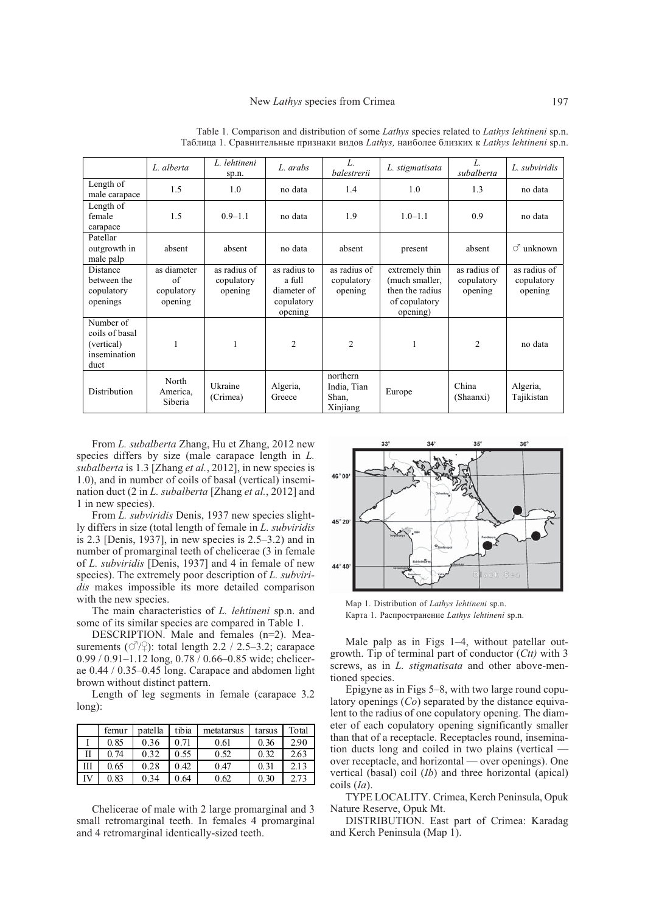|                                                                   | L. alberta                                         | L. lehtineni<br>sp.n.                 | L. arabs                                                       | L.<br><i>balestrerii</i>                     | L. stigmatisata                                                                  | L.<br>subalberta                      | L. subviridis                         |
|-------------------------------------------------------------------|----------------------------------------------------|---------------------------------------|----------------------------------------------------------------|----------------------------------------------|----------------------------------------------------------------------------------|---------------------------------------|---------------------------------------|
| Length of<br>male carapace                                        | 1.5                                                | 1.0                                   | no data                                                        | 1.4                                          | 1.0                                                                              | 1.3                                   | no data                               |
| Length of<br>female<br>carapace                                   | 1.5                                                | $0.9 - 1.1$                           | no data                                                        | 1.9                                          | $1.0 - 1.1$                                                                      | 0.9                                   | no data                               |
| Patellar<br>outgrowth in<br>male palp                             | absent                                             | absent                                | no data                                                        | absent                                       | present                                                                          | absent                                | $\circlearrowleft$ unknown            |
| <b>Distance</b><br>between the<br>copulatory<br>openings          | as diameter<br>$\alpha$ f<br>copulatory<br>opening | as radius of<br>copulatory<br>opening | as radius to<br>a full<br>diameter of<br>copulatory<br>opening | as radius of<br>copulatory<br>opening        | extremely thin<br>(much smaller,<br>then the radius<br>of copulatory<br>opening) | as radius of<br>copulatory<br>opening | as radius of<br>copulatory<br>opening |
| Number of<br>coils of basal<br>(vertical)<br>insemination<br>duct |                                                    | $\mathbf{1}$                          | $\overline{2}$                                                 | $\mathfrak{D}$                               | $\mathbf{1}$                                                                     | $\overline{c}$                        | no data                               |
| Distribution                                                      | North<br>America,<br>Siberia                       | Ukraine<br>(Crimea)                   | Algeria,<br>Greece                                             | northern<br>India, Tian<br>Shan,<br>Xinjiang | Europe                                                                           | China<br>(Shaanxi)                    | Algeria,<br>Tajikistan                |

Table 1. Comparison and distribution of some Lathys species related to Lathys lehtineni sp.n. Таблица 1. Сравнительные признаки видов Lathys, наиболее близких к Lathys lehtineni sp.n.

From L. subalberta Zhang, Hu et Zhang, 2012 new species differs by size (male carapace length in L. subalberta is 1.3 [Zhang et al., 2012], in new species is 1.0), and in number of coils of basal (vertical) insemination duct (2 in L. subalberta [Zhang et al., 2012] and 1 in new species).

From L. subviridis Denis, 1937 new species slightly differs in size (total length of female in L. subviridis is  $2.3$  [Denis, 1937], in new species is  $2.5-3.2$ ) and in number of promarginal teeth of chelicerae (3 in female of L. subviridis [Denis, 1937] and 4 in female of new species). The extremely poor description of L. subviridis makes impossible its more detailed comparison with the new species.

The main characteristics of L. lehtineni sp.n. and some of its similar species are compared in Table 1.

DESCRIPTION. Male and females (n=2). Measurements ( $\circlearrowleft$ / $\circlearrowright$ ): total length 2.2 / 2.5–3.2; carapace  $0.99 / 0.91 - 1.12$  long, 0.78 / 0.66–0.85 wide; chelicerae 0.44 / 0.35-0.45 long. Carapace and abdomen light brown without distinct pattern.

Length of leg segments in female (carapace 3.2) long):

|   | femur | patella | tibia    | metatarsus | tarsus | Total |
|---|-------|---------|----------|------------|--------|-------|
|   | 0.85  | 0.36    | $0.71\,$ | 0.61       | 0.36   | 2.90  |
| П | 0.74  | 0.32    | 0.55     | 0.52       | 0.32   | 2.63  |
| Ш | 0.65  | 0.28    | 0.42     | 0.47       | 0.31   | 2.13  |
|   | 0.83  | 0.34    | 0.64     | 0.62       | 0.30   |       |

Chelicerae of male with 2 large promarginal and 3 small retromarginal teeth. In females 4 promarginal and 4 retromarginal identically-sized teeth.



Map 1. Distribution of Lathys lehtineni sp.n. Карта 1. Распространение Lathys lehtineni sp.n.

Male palp as in Figs 1-4, without patellar outgrowth. Tip of terminal part of conductor  $(C<sub>tt</sub>)$  with 3 screws, as in *L. stigmatisata* and other above-mentioned species.

Epigyne as in Figs 5–8, with two large round copulatory openings  $(C<sub>o</sub>)$  separated by the distance equivalent to the radius of one copulatory opening. The diameter of each copulatory opening significantly smaller than that of a receptacle. Receptacles round, insemination ducts long and coiled in two plains (vertical over receptacle, and horizontal — over openings). One vertical (basal) coil  $(Ib)$  and three horizontal (apical)  $\cosh( Ia)$ .

TYPE LOCALITY. Crimea, Kerch Peninsula, Opuk Nature Reserve, Opuk Mt.

DISTRIBUTION. East part of Crimea: Karadag and Kerch Peninsula (Map 1).